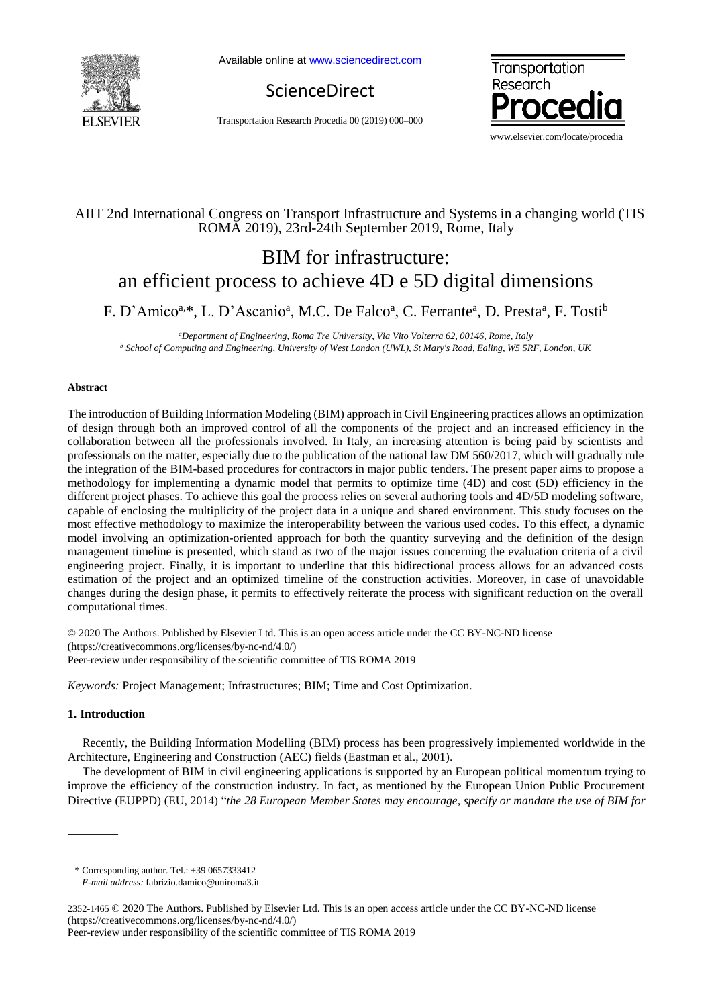

Available online a[t www.sciencedirect.com](http://www.sciencedirect.com/science/journal/22107843)

ScienceDirect

Transportation Research Procedia 00 (2019) 000–000



# AIIT 2nd International Congress on Transport Infrastructure and Systems in a changing world (TIS ROMA 2019), 23rd-24th September 2019, Rome, Italy

# BIM for infrastructure: an efficient process to achieve 4D e 5D digital dimensions

F. D'Amico<sup>a,\*</sup>, L. D'Ascanio<sup>a</sup>, M.C. De Falco<sup>a</sup>, C. Ferrante<sup>a</sup>, D. Presta<sup>a</sup>, F. Tosti<sup>b</sup>

*<sup>a</sup>Department of Engineering, Roma Tre University, Via Vito Volterra 62, 00146, Rome, Italy <sup>b</sup> School of Computing and Engineering, University of West London (UWL), St Mary's Road, Ealing, W5 5RF, London, UK* 

## **Abstract**

The introduction of Building Information Modeling (BIM) approach in Civil Engineering practices allows an optimization of design through both an improved control of all the components of the project and an increased efficiency in the collaboration between all the professionals involved. In Italy, an increasing attention is being paid by scientists and professionals on the matter, especially due to the publication of the national law DM 560/2017, which will gradually rule the integration of the BIM-based procedures for contractors in major public tenders. The present paper aims to propose a methodology for implementing a dynamic model that permits to optimize time (4D) and cost (5D) efficiency in the different project phases. To achieve this goal the process relies on several authoring tools and 4D/5D modeling software, capable of enclosing the multiplicity of the project data in a unique and shared environment. This study focuses on the most effective methodology to maximize the interoperability between the various used codes. To this effect, a dynamic model involving an optimization-oriented approach for both the quantity surveying and the definition of the design management timeline is presented, which stand as two of the major issues concerning the evaluation criteria of a civil engineering project. Finally, it is important to underline that this bidirectional process allows for an advanced costs estimation of the project and an optimized timeline of the construction activities. Moreover, in case of unavoidable changes during the design phase, it permits to effectively reiterate the process with significant reduction on the overall computational times.

© 2020 The Authors. Published by Elsevier Ltd. This is an open access article under the CC BY-NC-ND license [\(https://creativecommons.org/licenses/by-nc-nd/4.0/\)](https://creativecommons.org/licenses/by-nc-nd/4.0/) Peer-review under responsibility of the scientific committee of TIS ROMA 2019

*Keywords:* Project Management; Infrastructures; BIM; Time and Cost Optimization.

# **1. Introduction**

Recently, the Building Information Modelling (BIM) process has been progressively implemented worldwide in the Architecture, Engineering and Construction (AEC) fields (Eastman et al., 2001).

The development of BIM in civil engineering applications is supported by an European political momentum trying to improve the efficiency of the construction industry. In fact, as mentioned by the European Union Public Procurement Directive (EUPPD) (EU, 2014) "*the 28 European Member States may encourage, specify or mandate the use of BIM for* 

2352-1465 © 2020 The Authors. Published by Elsevier Ltd. This is an open access article under the CC BY-NC-ND license [\(https://creativecommons.org/licenses/by-nc-nd/4.0/\)](https://creativecommons.org/licenses/by-nc-nd/4.0/)

<sup>\*</sup> Corresponding author. Tel.: +39 0657333412

*E-mail address:* fabrizio.damico@uniroma3.it

Peer-review under responsibility of the scientific committee of TIS ROMA 2019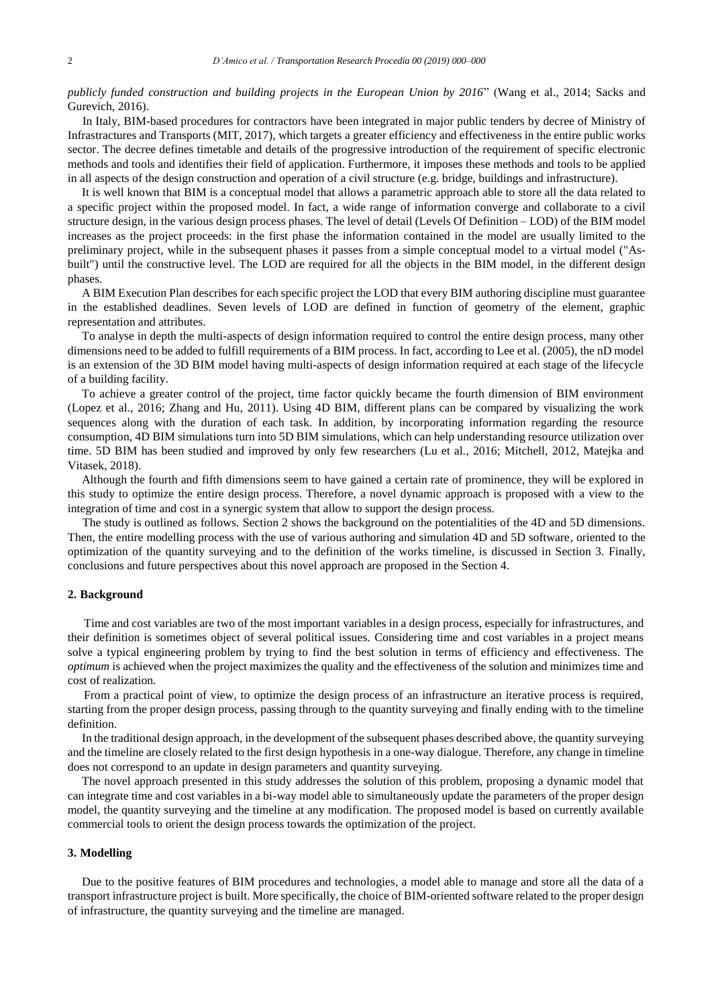*publicly funded construction and building projects in the European Union by 2016*" (Wang et al., 2014; Sacks and Gurevich, 2016).

In Italy, BIM-based procedures for contractors have been integrated in major public tenders by decree of Ministry of Infrastractures and Transports (MIT, 2017), which targets a greater efficiency and effectiveness in the entire public works sector. The decree defines timetable and details of the progressive introduction of the requirement of specific electronic methods and tools and identifies their field of application. Furthermore, it imposes these methods and tools to be applied in all aspects of the design construction and operation of a civil structure (e.g. bridge, buildings and infrastructure).

It is well known that BIM is a conceptual model that allows a parametric approach able to store all the data related to a specific project within the proposed model. In fact, a wide range of information converge and collaborate to a civil structure design, in the various design process phases. The level of detail (Levels Of Definition – LOD) of the BIM model increases as the project proceeds: in the first phase the information contained in the model are usually limited to the preliminary project, while in the subsequent phases it passes from a simple conceptual model to a virtual model ("Asbuilt") until the constructive level. The LOD are required for all the objects in the BIM model, in the different design phases.

A BIM Execution Plan describes for each specific project the LOD that every BIM authoring discipline must guarantee in the established deadlines. Seven levels of LOD are defined in function of geometry of the element, graphic representation and attributes.

To analyse in depth the multi-aspects of design information required to control the entire design process, many other dimensions need to be added to fulfill requirements of a BIM process. In fact, according to Lee et al. (2005), the nD model is an extension of the 3D BIM model having multi-aspects of design information required at each stage of the lifecycle of a building facility.

To achieve a greater control of the project, time factor quickly became the fourth dimension of BIM environment (Lopez et al., 2016; Zhang and Hu, 2011). Using 4D BIM, different plans can be compared by visualizing the work sequences along with the duration of each task. In addition, by incorporating information regarding the resource consumption, 4D BIM simulations turn into 5D BIM simulations, which can help understanding resource utilization over time. 5D BIM has been studied and improved by only few researchers (Lu et al., 2016; Mitchell, 2012, Matejka and Vitasek, 2018).

Although the fourth and fifth dimensions seem to have gained a certain rate of prominence, they will be explored in this study to optimize the entire design process. Therefore, a novel dynamic approach is proposed with a view to the integration of time and cost in a synergic system that allow to support the design process.

The study is outlined as follows. Section 2 shows the background on the potentialities of the 4D and 5D dimensions. Then, the entire modelling process with the use of various authoring and simulation 4D and 5D software, oriented to the optimization of the quantity surveying and to the definition of the works timeline, is discussed in Section 3. Finally, conclusions and future perspectives about this novel approach are proposed in the Section 4.

#### **2. Background**

Time and cost variables are two of the most important variables in a design process, especially for infrastructures, and their definition is sometimes object of several political issues. Considering time and cost variables in a project means solve a typical engineering problem by trying to find the best solution in terms of efficiency and effectiveness. The *optimum* is achieved when the project maximizes the quality and the effectiveness of the solution and minimizes time and cost of realization.

From a practical point of view, to optimize the design process of an infrastructure an iterative process is required, starting from the proper design process, passing through to the quantity surveying and finally ending with to the timeline definition.

In the traditional design approach, in the development of the subsequent phases described above, the quantity surveying and the timeline are closely related to the first design hypothesis in a one-way dialogue. Therefore, any change in timeline does not correspond to an update in design parameters and quantity surveying.

The novel approach presented in this study addresses the solution of this problem, proposing a dynamic model that can integrate time and cost variables in a bi-way model able to simultaneously update the parameters of the proper design model, the quantity surveying and the timeline at any modification. The proposed model is based on currently available commercial tools to orient the design process towards the optimization of the project.

#### **3. Modelling**

Due to the positive features of BIM procedures and technologies, a model able to manage and store all the data of a transport infrastructure project is built. More specifically, the choice of BIM-oriented software related to the proper design of infrastructure, the quantity surveying and the timeline are managed.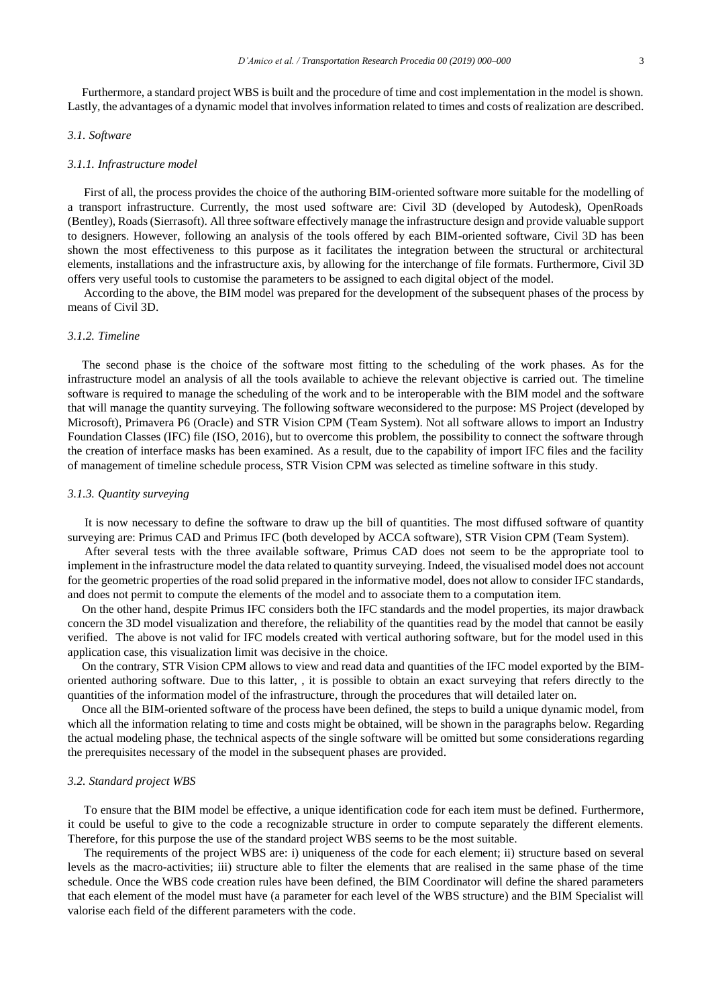Furthermore, a standard project WBS is built and the procedure of time and cost implementation in the model is shown. Lastly, the advantages of a dynamic model that involves information related to times and costs of realization are described.

#### *3.1. Software*

#### *3.1.1. Infrastructure model*

First of all, the process provides the choice of the authoring BIM-oriented software more suitable for the modelling of a transport infrastructure. Currently, the most used software are: Civil 3D (developed by Autodesk), OpenRoads (Bentley), Roads (Sierrasoft). All three software effectively manage the infrastructure design and provide valuable support to designers. However, following an analysis of the tools offered by each BIM-oriented software, Civil 3D has been shown the most effectiveness to this purpose as it facilitates the integration between the structural or architectural elements, installations and the infrastructure axis, by allowing for the interchange of file formats. Furthermore, Civil 3D offers very useful tools to customise the parameters to be assigned to each digital object of the model.

According to the above, the BIM model was prepared for the development of the subsequent phases of the process by means of Civil 3D.

### *3.1.2. Timeline*

The second phase is the choice of the software most fitting to the scheduling of the work phases. As for the infrastructure model an analysis of all the tools available to achieve the relevant objective is carried out. The timeline software is required to manage the scheduling of the work and to be interoperable with the BIM model and the software that will manage the quantity surveying. The following software weconsidered to the purpose: MS Project (developed by Microsoft), Primavera P6 (Oracle) and STR Vision CPM (Team System). Not all software allows to import an Industry Foundation Classes (IFC) file (ISO, 2016), but to overcome this problem, the possibility to connect the software through the creation of interface masks has been examined. As a result, due to the capability of import IFC files and the facility of management of timeline schedule process, STR Vision CPM was selected as timeline software in this study.

#### *3.1.3. Quantity surveying*

It is now necessary to define the software to draw up the bill of quantities. The most diffused software of quantity surveying are: Primus CAD and Primus IFC (both developed by ACCA software), STR Vision CPM (Team System).

After several tests with the three available software, Primus CAD does not seem to be the appropriate tool to implement in the infrastructure model the data related to quantity surveying. Indeed, the visualised model does not account for the geometric properties of the road solid prepared in the informative model, does not allow to consider IFC standards, and does not permit to compute the elements of the model and to associate them to a computation item.

On the other hand, despite Primus IFC considers both the IFC standards and the model properties, its major drawback concern the 3D model visualization and therefore, the reliability of the quantities read by the model that cannot be easily verified. The above is not valid for IFC models created with vertical authoring software, but for the model used in this application case, this visualization limit was decisive in the choice.

On the contrary, STR Vision CPM allows to view and read data and quantities of the IFC model exported by the BIMoriented authoring software. Due to this latter, , it is possible to obtain an exact surveying that refers directly to the quantities of the information model of the infrastructure, through the procedures that will detailed later on.

Once all the BIM-oriented software of the process have been defined, the steps to build a unique dynamic model, from which all the information relating to time and costs might be obtained, will be shown in the paragraphs below. Regarding the actual modeling phase, the technical aspects of the single software will be omitted but some considerations regarding the prerequisites necessary of the model in the subsequent phases are provided.

#### *3.2. Standard project WBS*

To ensure that the BIM model be effective, a unique identification code for each item must be defined. Furthermore, it could be useful to give to the code a recognizable structure in order to compute separately the different elements. Therefore, for this purpose the use of the standard project WBS seems to be the most suitable.

The requirements of the project WBS are: i) uniqueness of the code for each element; ii) structure based on several levels as the macro-activities; iii) structure able to filter the elements that are realised in the same phase of the time schedule. Once the WBS code creation rules have been defined, the BIM Coordinator will define the shared parameters that each element of the model must have (a parameter for each level of the WBS structure) and the BIM Specialist will valorise each field of the different parameters with the code.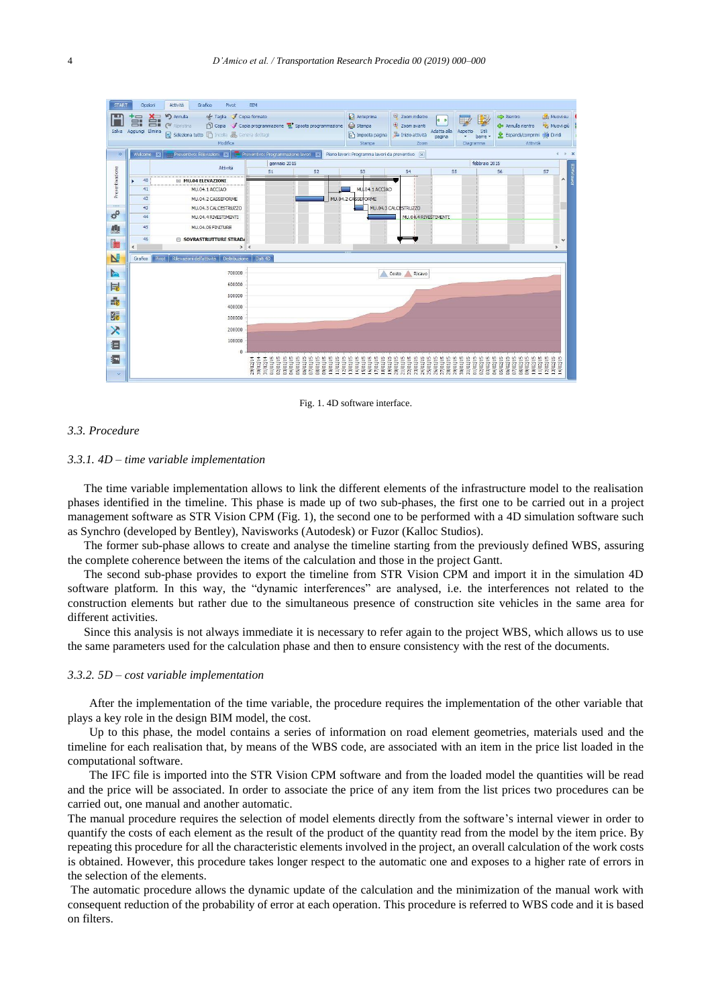| <b>START</b>         | Opzioni                     | Grafico<br>Attività<br>Pivot                                                                                                                   | BIM                                                     |                                                                                                          |                                                                                  |                                                                                  |                                                            |                                              |                                                                                  |                                                    |              |  |
|----------------------|-----------------------------|------------------------------------------------------------------------------------------------------------------------------------------------|---------------------------------------------------------|----------------------------------------------------------------------------------------------------------|----------------------------------------------------------------------------------|----------------------------------------------------------------------------------|------------------------------------------------------------|----------------------------------------------|----------------------------------------------------------------------------------|----------------------------------------------------|--------------|--|
| Salva                | Ě.<br>旨<br>Aggiungi Elimina | <b>In</b> Annulla<br>$\alpha$ Taglia<br>$\sim$<br><b>D</b> Copia<br>Ripristina<br>Theola & Genera dettagl<br>EI<br>Seleziona tutto<br>Modifica | Copia formato                                           | Copia programmazione e Sposta programmazione                                                             | Anteprima<br>Stampa<br>B<br>Imposta pagina<br>Stampa                             | $\Theta$<br>Zoom indietro<br>⊕<br>Zoom avanti<br>Inizio attività<br>Zoom         | <b>HHZ</b><br>4 <sub>b</sub><br>Adatta alla<br>pagina<br>÷ | 围<br>Aspetto<br>Stil<br>barre<br>Diagramma   | Rientro<br>Annulla rientro<br>Espandi/comprimi<br>宔<br>Attività                  | <b>Lib.</b> Muovi su<br>Nuovi giù<br><b>Dividi</b> |              |  |
| $\gg$                | Welcome<br><b>Ixl</b>       | Preventivo: Rilevazioni<br><b>X</b>                                                                                                            | Preventivo: Programmazione lavori                       |                                                                                                          | Piano lavori: Programma lavori da preventivo                                     | $\overline{\mathbf{x}}$                                                          |                                                            |                                              |                                                                                  | $\left($                                           | ×            |  |
|                      |                             | Attività                                                                                                                                       | febbraio 2015<br>gennaio 2015                           |                                                                                                          |                                                                                  |                                                                                  |                                                            |                                              |                                                                                  |                                                    |              |  |
| Preventivazione      |                             |                                                                                                                                                | S1                                                      | S <sub>2</sub>                                                                                           | S <sub>3</sub>                                                                   | S <sub>4</sub>                                                                   | S <sub>5</sub>                                             |                                              | S <sub>6</sub>                                                                   | S7                                                 |              |  |
|                      | 40<br>٠                     | MU.04 ELEVAZIONI                                                                                                                               |                                                         |                                                                                                          |                                                                                  |                                                                                  |                                                            |                                              |                                                                                  |                                                    | Α            |  |
|                      | 41<br>42                    | MU.04.1 ACCIAO<br>MU.04.2 CASSEFORME                                                                                                           | MU, 04, 1 ACCIAO<br>MU.04.2 CASSERORME                  |                                                                                                          |                                                                                  |                                                                                  |                                                            |                                              |                                                                                  |                                                    |              |  |
|                      | 43                          | MU.04.3 CALCESTRUZZO                                                                                                                           |                                                         |                                                                                                          |                                                                                  | MU.04.3 CALCESTRUZZO                                                             |                                                            |                                              |                                                                                  |                                                    |              |  |
| $\sigma^{\! \alpha}$ | 44                          | MU.04.4 RIVESTIMENTI                                                                                                                           |                                                         |                                                                                                          |                                                                                  | MU.04.4 RIVESTIMENTI                                                             |                                                            |                                              |                                                                                  |                                                    |              |  |
| Id.                  | 45                          | MU.04.05 FINITURE                                                                                                                              |                                                         |                                                                                                          |                                                                                  |                                                                                  |                                                            |                                              |                                                                                  |                                                    |              |  |
| l                    | 46                          | <b>SOVRASTRUTTURE STRADA</b>                                                                                                                   |                                                         |                                                                                                          |                                                                                  |                                                                                  |                                                            |                                              |                                                                                  |                                                    | $\checkmark$ |  |
|                      | $\overline{\phantom{a}}$    | > 1                                                                                                                                            |                                                         |                                                                                                          |                                                                                  |                                                                                  |                                                            |                                              |                                                                                  | $\rightarrow$                                      |              |  |
| N                    | Grafico<br>Pivot            | Rilevazioni dell'attività<br>Distribuzione                                                                                                     | Dati 4D                                                 |                                                                                                          |                                                                                  |                                                                                  |                                                            |                                              |                                                                                  |                                                    |              |  |
| <b>Po</b>            |                             | 700000                                                                                                                                         |                                                         |                                                                                                          |                                                                                  | Costo<br>Ricavo                                                                  |                                                            |                                              |                                                                                  |                                                    |              |  |
| 尾                    |                             | 600000                                                                                                                                         |                                                         |                                                                                                          |                                                                                  |                                                                                  |                                                            |                                              |                                                                                  |                                                    |              |  |
|                      |                             | 500000                                                                                                                                         |                                                         |                                                                                                          |                                                                                  |                                                                                  |                                                            |                                              |                                                                                  |                                                    |              |  |
| 最                    | 400000                      |                                                                                                                                                |                                                         |                                                                                                          |                                                                                  |                                                                                  |                                                            |                                              |                                                                                  |                                                    |              |  |
| E                    | 300000                      |                                                                                                                                                |                                                         |                                                                                                          |                                                                                  |                                                                                  |                                                            |                                              |                                                                                  |                                                    |              |  |
| $\mathsf{x}$         |                             | 200000                                                                                                                                         |                                                         |                                                                                                          |                                                                                  |                                                                                  |                                                            |                                              |                                                                                  |                                                    |              |  |
| 目                    |                             | 100000                                                                                                                                         |                                                         |                                                                                                          |                                                                                  |                                                                                  |                                                            |                                              |                                                                                  |                                                    |              |  |
|                      |                             | 0                                                                                                                                              |                                                         |                                                                                                          |                                                                                  |                                                                                  |                                                            |                                              |                                                                                  |                                                    |              |  |
| <b>Exp</b>           |                             |                                                                                                                                                | 03/01/15<br>01/01/15<br>02/01/15<br>29/12/14<br>1012/14 | 04/01/15<br>05/01/15<br>06/01/15<br>07/01/15<br>08/01/15<br>09/01/15<br>10/01/15<br>11/01/15<br>12/01/15 | 17/01/15<br>13/01/15<br>14/01/15<br>15/01/15<br>16/01/15<br>18/01/15<br>19/01/15 | 22/01/15<br>20/01/15<br>21/01/15<br>23/01/15<br>24/01/15<br>25/01/15<br>26/01/15 | 27/01/15<br>28/01/15<br>29/01/15<br>30/01/15               | 01/02/15<br>02/02/15<br>31/01/15<br>03/02/15 | 10/02/15<br>04/02/15<br>05/02/15<br>06/02/15<br>07/02/15<br>08/02/15<br>09/02/15 | 11/02/15<br>12/02/15<br>13/02/15<br>14/02/15       |              |  |
| ×                    |                             |                                                                                                                                                |                                                         |                                                                                                          |                                                                                  |                                                                                  |                                                            |                                              |                                                                                  |                                                    |              |  |

Fig. 1. 4D software interface.

#### *3.3. Procedure*

#### *3.3.1. 4D – time variable implementation*

The time variable implementation allows to link the different elements of the infrastructure model to the realisation phases identified in the timeline. This phase is made up of two sub-phases, the first one to be carried out in a project management software as STR Vision CPM (Fig. 1), the second one to be performed with a 4D simulation software such as Synchro (developed by Bentley), Navisworks (Autodesk) or Fuzor (Kalloc Studios).

The former sub-phase allows to create and analyse the timeline starting from the previously defined WBS, assuring the complete coherence between the items of the calculation and those in the project Gantt.

The second sub-phase provides to export the timeline from STR Vision CPM and import it in the simulation 4D software platform. In this way, the "dynamic interferences" are analysed, i.e. the interferences not related to the construction elements but rather due to the simultaneous presence of construction site vehicles in the same area for different activities.

Since this analysis is not always immediate it is necessary to refer again to the project WBS, which allows us to use the same parameters used for the calculation phase and then to ensure consistency with the rest of the documents.

#### *3.3.2. 5D – cost variable implementation*

After the implementation of the time variable, the procedure requires the implementation of the other variable that plays a key role in the design BIM model, the cost.

Up to this phase, the model contains a series of information on road element geometries, materials used and the timeline for each realisation that, by means of the WBS code, are associated with an item in the price list loaded in the computational software.

The IFC file is imported into the STR Vision CPM software and from the loaded model the quantities will be read and the price will be associated. In order to associate the price of any item from the list prices two procedures can be carried out, one manual and another automatic.

The manual procedure requires the selection of model elements directly from the software's internal viewer in order to quantify the costs of each element as the result of the product of the quantity read from the model by the item price. By repeating this procedure for all the characteristic elements involved in the project, an overall calculation of the work costs is obtained. However, this procedure takes longer respect to the automatic one and exposes to a higher rate of errors in the selection of the elements.

The automatic procedure allows the dynamic update of the calculation and the minimization of the manual work with consequent reduction of the probability of error at each operation. This procedure is referred to WBS code and it is based on filters.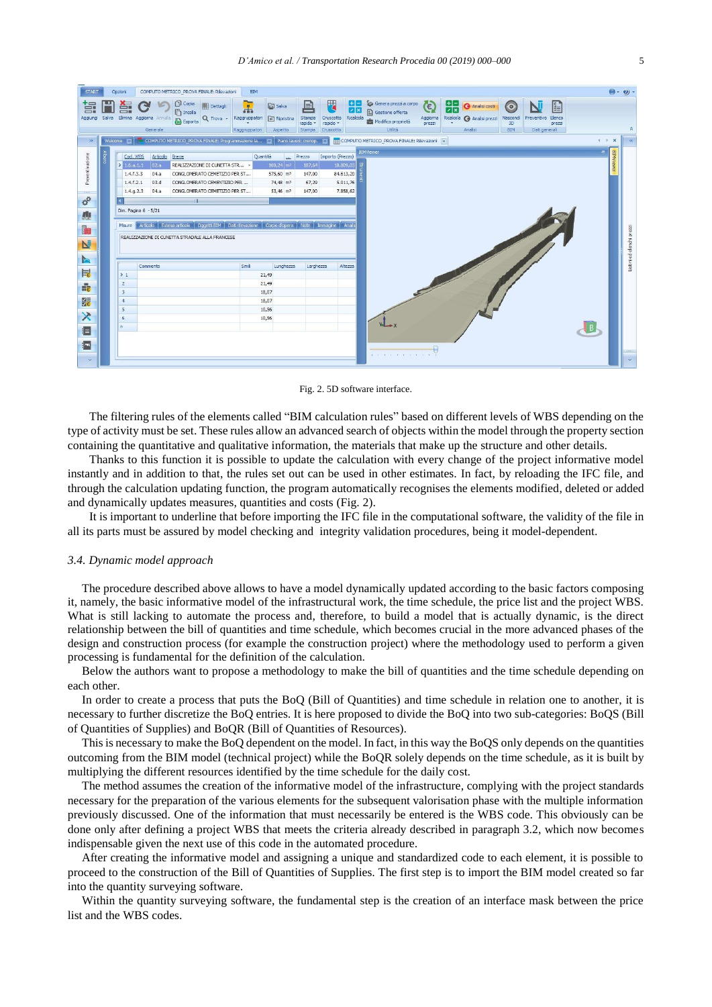| <b>START</b><br>冨 |       | Opzioni<br>Ê.     |                          | COMPUTO METRICO PROVA FINALE: Rilevazioni<br><b>D</b> Copia<br><b>Fil</b> Dettagli                                                  | <b>BIM</b><br>$\overline{A}$ | <b>In Salva</b>          | l≡ì                | 厌                     | BE<br>zx  | Genera prezzi a corpo<br>G Gestione offerta     | 飞                  | 噐 | <b>Analisi costi</b>       | (၀            |               | 自治               |              | $\bullet$ $\bullet$       |
|-------------------|-------|-------------------|--------------------------|-------------------------------------------------------------------------------------------------------------------------------------|------------------------------|--------------------------|--------------------|-----------------------|-----------|-------------------------------------------------|--------------------|---|----------------------------|---------------|---------------|------------------|--------------|---------------------------|
| Aggiungi          | Salva |                   | Elimina Aggiorna Annulla | ncolla<br>Q Trova -<br><b>D</b> Esporta                                                                                             | Raggruppatori                | F Ripristina             | Stampa<br>rapida - | Cruscotto<br>rapido - | Ricalcola | Modifica proprietà                              | Aggiorna<br>prezzi |   | Ricalcola @ Analisi prezzi | Nascond<br>3D | Preventivo    | Elenco<br>prezzi |              |                           |
|                   |       |                   | Generale                 |                                                                                                                                     | Raggruppatori                | Aspetto                  | Stampa             | Cruscotto             |           | Utilità                                         |                    |   | Analisi                    | <b>BIM</b>    | Dati generali |                  |              |                           |
| $\gg$             |       | Welcome <b>53</b> |                          | COMPUTO METRICO_PROVA FINALE: Programmazione la >   Piano lavori: cronop.   X         COMPUTO METRICO_PROVA FINALE: Rilevazioni   X |                              |                          |                    |                       |           |                                                 |                    |   |                            |               |               |                  | $\leftarrow$ | $\mathbf{x}$<br>$\alpha$  |
|                   | lbero | Cod. WBS          | Articolo                 | Breve                                                                                                                               |                              | Quantità                 | <b>Prezzo</b>      | Importo (Prezzo)      |           | <b>BIMViewer</b>                                |                    |   |                            |               |               |                  | ÷            |                           |
| Preventivazione   |       | 21.6.a.1.1        | 02.a                     | REALIZZAZIONE DI CUNETTA STR »                                                                                                      |                              | $100,24 \, \mathrm{m}^3$ | 187,64             |                       | 18.809,03 |                                                 |                    |   |                            |               |               |                  |              | <b>BIMVIew</b>            |
|                   |       | 1.4.f.3.3         | 04.a                     | CONGLOMERATO CEMETIZIO PER ST                                                                                                       |                              | 575,60 m <sup>3</sup>    | 147,00             |                       | 84.613,20 |                                                 |                    |   |                            |               |               |                  |              |                           |
|                   |       | 1.4.f.2.1         | 03.d                     | CONGLOMERATO CEMENTIZIO PER                                                                                                         |                              | 74,48 m <sup>2</sup>     | 67,29              |                       | 5.011,76  |                                                 |                    |   |                            |               |               |                  |              |                           |
|                   |       | 1.4.9.2.3         | 04.a                     | CONGLOMERATO CEMETIZIO PER ST                                                                                                       |                              | 53,46 m <sup>3</sup>     | 147,00             |                       | 7.858,62  |                                                 |                    |   |                            |               |               |                  |              |                           |
| $\sigma^{\alpha}$ |       |                   |                          |                                                                                                                                     |                              |                          |                    |                       |           |                                                 |                    |   |                            |               |               |                  |              |                           |
| 應                 |       |                   | Dim. Pagina 6 - 5/21     |                                                                                                                                     |                              |                          |                    |                       |           |                                                 |                    |   |                            |               |               |                  |              |                           |
|                   |       |                   |                          | Visure Articolo Estesa articolo Oggetti BIM Dati rilevazione Corpo d'opera Note Immagine Analis                                     |                              |                          |                    |                       |           |                                                 |                    |   |                            |               |               |                  |              |                           |
| H                 |       |                   |                          |                                                                                                                                     |                              |                          |                    |                       |           |                                                 |                    |   |                            |               |               |                  |              | Listini ed elenchi prezzi |
| N                 |       |                   |                          | REALIZZAZIONE DI CUNETTA STRADALE ALLA FRANCESE                                                                                     |                              |                          |                    |                       |           |                                                 |                    |   |                            |               |               |                  |              |                           |
|                   |       |                   |                          |                                                                                                                                     |                              |                          |                    |                       |           |                                                 |                    |   |                            |               |               |                  |              |                           |
| <b>Pa</b>         |       |                   |                          |                                                                                                                                     |                              |                          |                    |                       |           |                                                 |                    |   |                            |               |               |                  |              |                           |
| 尾                 |       | $\geq 1$          | Commento                 |                                                                                                                                     | Simili                       | Lunghezza<br>21,49       | Larghezza          |                       | Altezza   |                                                 |                    |   |                            |               |               |                  |              |                           |
|                   |       | $\overline{2}$    |                          |                                                                                                                                     |                              | 21,49                    |                    |                       |           |                                                 |                    |   |                            |               |               |                  |              |                           |
| $\frac{1}{16}$    |       | $\overline{3}$    |                          |                                                                                                                                     |                              | 18,07                    |                    |                       |           |                                                 |                    |   |                            |               |               |                  |              |                           |
| 體                 |       | $\frac{4}{3}$     |                          |                                                                                                                                     |                              | 18,07                    |                    |                       |           |                                                 |                    |   |                            |               |               |                  |              |                           |
|                   |       | 5                 |                          |                                                                                                                                     |                              | 10,56                    |                    |                       |           |                                                 |                    |   |                            |               |               |                  |              |                           |
| $\times$          |       | 6                 |                          |                                                                                                                                     |                              | 10,56                    |                    |                       |           |                                                 |                    |   |                            |               |               |                  |              |                           |
| 目                 |       | W.                |                          |                                                                                                                                     |                              |                          |                    |                       |           |                                                 |                    |   |                            |               |               |                  |              |                           |
|                   |       |                   |                          |                                                                                                                                     |                              |                          |                    |                       |           |                                                 |                    |   |                            |               |               |                  |              |                           |
| 氯                 |       |                   |                          |                                                                                                                                     |                              |                          |                    |                       |           |                                                 |                    |   |                            |               |               |                  |              |                           |
|                   |       |                   |                          |                                                                                                                                     |                              |                          |                    |                       |           | The contract of the contract of the contract of |                    |   |                            |               |               |                  |              |                           |
| $\sim$            |       |                   |                          |                                                                                                                                     |                              |                          |                    |                       |           |                                                 |                    |   |                            |               |               |                  |              |                           |

Fig. 2. 5D software interface.

The filtering rules of the elements called "BIM calculation rules" based on different levels of WBS depending on the type of activity must be set. These rules allow an advanced search of objects within the model through the property section containing the quantitative and qualitative information, the materials that make up the structure and other details.

Thanks to this function it is possible to update the calculation with every change of the project informative model instantly and in addition to that, the rules set out can be used in other estimates. In fact, by reloading the IFC file, and through the calculation updating function, the program automatically recognises the elements modified, deleted or added and dynamically updates measures, quantities and costs (Fig. 2).

It is important to underline that before importing the IFC file in the computational software, the validity of the file in all its parts must be assured by model checking and integrity validation procedures, being it model-dependent.

#### *3.4. Dynamic model approach*

The procedure described above allows to have a model dynamically updated according to the basic factors composing it, namely, the basic informative model of the infrastructural work, the time schedule, the price list and the project WBS. What is still lacking to automate the process and, therefore, to build a model that is actually dynamic, is the direct relationship between the bill of quantities and time schedule, which becomes crucial in the more advanced phases of the design and construction process (for example the construction project) where the methodology used to perform a given processing is fundamental for the definition of the calculation.

Below the authors want to propose a methodology to make the bill of quantities and the time schedule depending on each other.

In order to create a process that puts the BoQ (Bill of Quantities) and time schedule in relation one to another, it is necessary to further discretize the BoQ entries. It is here proposed to divide the BoQ into two sub-categories: BoQS (Bill of Quantities of Supplies) and BoQR (Bill of Quantities of Resources).

This is necessary to make the BoQ dependent on the model. In fact, in this way the BoQS only depends on the quantities outcoming from the BIM model (technical project) while the BoQR solely depends on the time schedule, as it is built by multiplying the different resources identified by the time schedule for the daily cost.

The method assumes the creation of the informative model of the infrastructure, complying with the project standards necessary for the preparation of the various elements for the subsequent valorisation phase with the multiple information previously discussed. One of the information that must necessarily be entered is the WBS code. This obviously can be done only after defining a project WBS that meets the criteria already described in paragraph 3.2, which now becomes indispensable given the next use of this code in the automated procedure.

After creating the informative model and assigning a unique and standardized code to each element, it is possible to proceed to the construction of the Bill of Quantities of Supplies. The first step is to import the BIM model created so far into the quantity surveying software.

Within the quantity surveying software, the fundamental step is the creation of an interface mask between the price list and the WBS codes.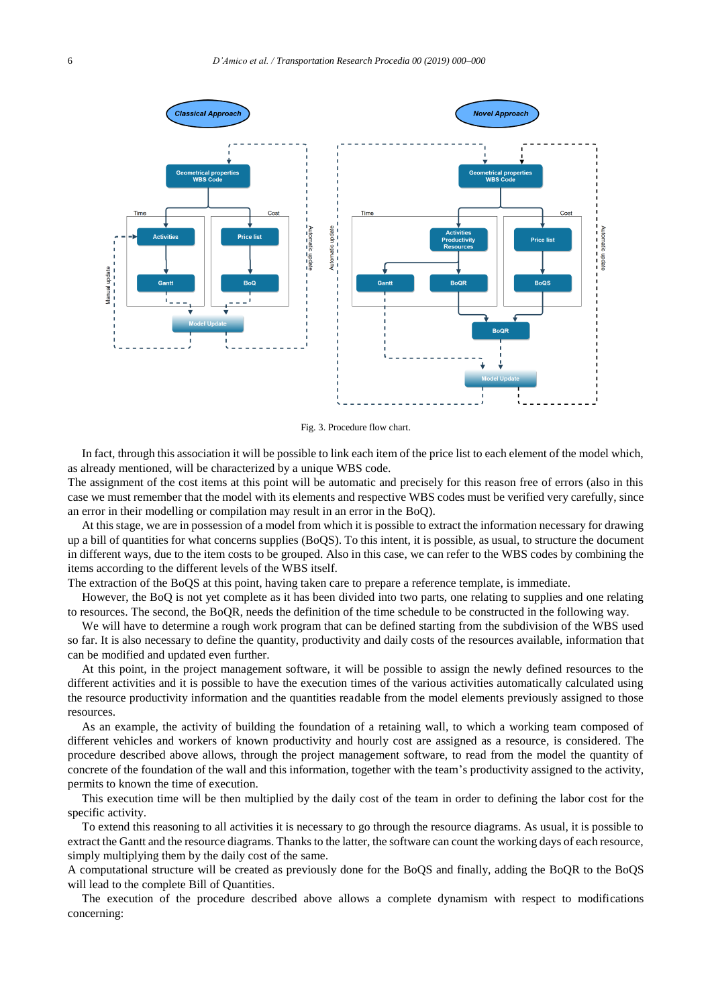

Fig. 3. Procedure flow chart.

In fact, through this association it will be possible to link each item of the price list to each element of the model which, as already mentioned, will be characterized by a unique WBS code.

The assignment of the cost items at this point will be automatic and precisely for this reason free of errors (also in this case we must remember that the model with its elements and respective WBS codes must be verified very carefully, since an error in their modelling or compilation may result in an error in the BoQ).

At this stage, we are in possession of a model from which it is possible to extract the information necessary for drawing up a bill of quantities for what concerns supplies (BoQS). To this intent, it is possible, as usual, to structure the document in different ways, due to the item costs to be grouped. Also in this case, we can refer to the WBS codes by combining the items according to the different levels of the WBS itself.

The extraction of the BoQS at this point, having taken care to prepare a reference template, is immediate.

However, the BoQ is not yet complete as it has been divided into two parts, one relating to supplies and one relating to resources. The second, the BoQR, needs the definition of the time schedule to be constructed in the following way.

We will have to determine a rough work program that can be defined starting from the subdivision of the WBS used so far. It is also necessary to define the quantity, productivity and daily costs of the resources available, information that can be modified and updated even further.

At this point, in the project management software, it will be possible to assign the newly defined resources to the different activities and it is possible to have the execution times of the various activities automatically calculated using the resource productivity information and the quantities readable from the model elements previously assigned to those resources.

As an example, the activity of building the foundation of a retaining wall, to which a working team composed of different vehicles and workers of known productivity and hourly cost are assigned as a resource, is considered. The procedure described above allows, through the project management software, to read from the model the quantity of concrete of the foundation of the wall and this information, together with the team's productivity assigned to the activity, permits to known the time of execution.

This execution time will be then multiplied by the daily cost of the team in order to defining the labor cost for the specific activity.

To extend this reasoning to all activities it is necessary to go through the resource diagrams. As usual, it is possible to extract the Gantt and the resource diagrams. Thanks to the latter, the software can count the working days of each resource, simply multiplying them by the daily cost of the same.

A computational structure will be created as previously done for the BoQS and finally, adding the BoQR to the BoQS will lead to the complete Bill of Quantities.

The execution of the procedure described above allows a complete dynamism with respect to modifications concerning: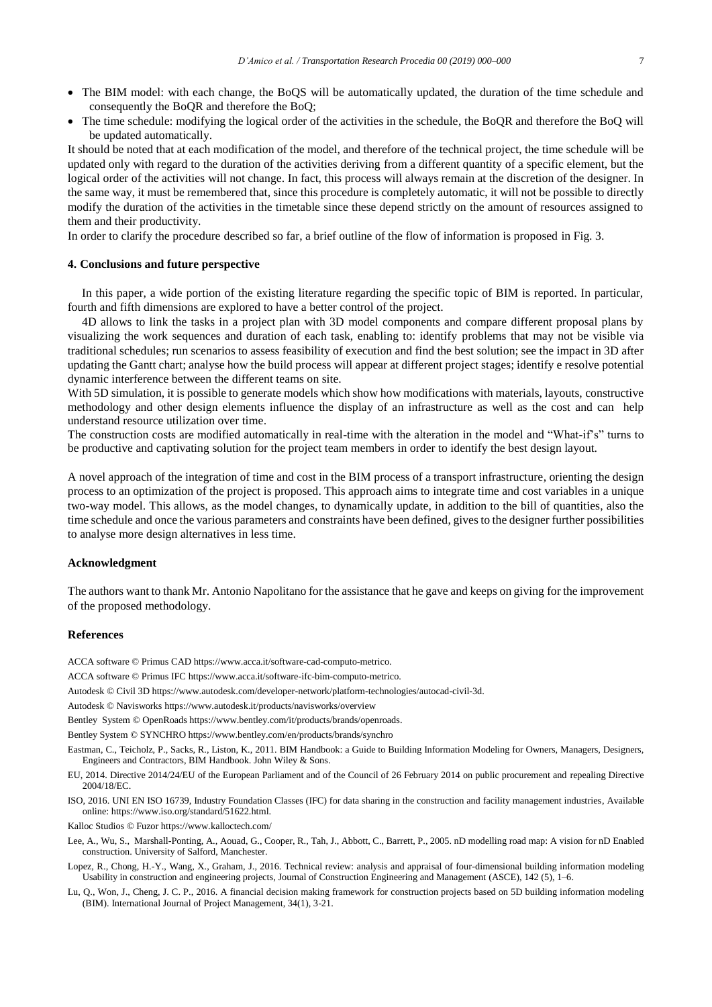- The BIM model: with each change, the BoQS will be automatically updated, the duration of the time schedule and consequently the BoQR and therefore the BoQ;
- The time schedule: modifying the logical order of the activities in the schedule, the BoQR and therefore the BoQ will be updated automatically.

It should be noted that at each modification of the model, and therefore of the technical project, the time schedule will be updated only with regard to the duration of the activities deriving from a different quantity of a specific element, but the logical order of the activities will not change. In fact, this process will always remain at the discretion of the designer. In the same way, it must be remembered that, since this procedure is completely automatic, it will not be possible to directly modify the duration of the activities in the timetable since these depend strictly on the amount of resources assigned to them and their productivity.

In order to clarify the procedure described so far, a brief outline of the flow of information is proposed in Fig. 3.

#### **4. Conclusions and future perspective**

In this paper, a wide portion of the existing literature regarding the specific topic of BIM is reported. In particular, fourth and fifth dimensions are explored to have a better control of the project.

4D allows to link the tasks in a project plan with 3D model components and compare different proposal plans by visualizing the work sequences and duration of each task, enabling to: identify problems that may not be visible via traditional schedules; run scenarios to assess feasibility of execution and find the best solution; see the impact in 3D after updating the Gantt chart; analyse how the build process will appear at different project stages; identify e resolve potential dynamic interference between the different teams on site.

With 5D simulation, it is possible to generate models which show how modifications with materials, layouts, constructive methodology and other design elements influence the display of an infrastructure as well as the cost and can help understand resource utilization over time.

The construction costs are modified automatically in real-time with the alteration in the model and "What-if's" turns to be productive and captivating solution for the project team members in order to identify the best design layout.

A novel approach of the integration of time and cost in the BIM process of a transport infrastructure, orienting the design process to an optimization of the project is proposed. This approach aims to integrate time and cost variables in a unique two-way model. This allows, as the model changes, to dynamically update, in addition to the bill of quantities, also the time schedule and once the various parameters and constraints have been defined, gives to the designer further possibilities to analyse more design alternatives in less time.

#### **Acknowledgment**

The authors want to thank Mr. Antonio Napolitano for the assistance that he gave and keeps on giving for the improvement of the proposed methodology.

#### **References**

ACCA software © Primus CA[D https://www.acca.it/software-cad-computo-metrico.](https://www.acca.it/software-cad-computo-metrico)

ACCA software © Primus IF[C https://www.acca.it/software-ifc-bim-computo-metrico.](https://www.acca.it/software-ifc-bim-computo-metrico)

Autodesk © Civil 3D [https://www.autodesk.com/developer-network/platform-technologies/autocad-civil-3d.](https://www.autodesk.com/developer-network/platform-technologies/autocad-civil-3d)

Autodesk © Naviswork[s https://www.autodesk.it/products/navisworks/overview](https://www.autodesk.it/products/navisworks/overview)

Bentley System © OpenRoad[s https://www.bentley.com/it/products/brands/openroads.](https://www.bentley.com/it/products/brands/openroads)

Bentley System © SYNCHR[O https://www.bentley.com/en/products/brands/synchro](https://www.bentley.com/en/products/brands/synchro)

Eastman, C., Teicholz, P., Sacks, R., Liston, K., 2011. BIM Handbook: a Guide to Building Information Modeling for Owners, Managers, Designers, Engineers and Contractors, BIM Handbook. John Wiley & Sons.

EU, 2014. Directive 2014/24/EU of the European Parliament and of the Council of 26 February 2014 on public procurement and repealing Directive 2004/18/EC.

ISO, 2016. UNI EN ISO 16739, Industry Foundation Classes (IFC) for data sharing in the construction and facility management industries, Available online[: https://www.iso.org/standard/51622.html.](https://www.iso.org/standard/51622.html)

Kalloc Studios © Fuzor<https://www.kalloctech.com/>

- Lee, A., Wu, S., Marshall-Ponting, A., Aouad, G., Cooper, R., Tah, J., Abbott, C., Barrett, P., 2005. nD modelling road map: A vision for nD Enabled construction. University of Salford, Manchester.
- Lopez, R., Chong, H.-Y., Wang, X., Graham, J., 2016. Technical review: analysis and appraisal of four-dimensional building information modeling Usability in construction and engineering projects, Journal of Construction Engineering and Management (ASCE), 142 (5), 1–6.
- Lu, Q., Won, J., Cheng, J. C. P., 2016. A financial decision making framework for construction projects based on 5D building information modeling (BIM). International Journal of Project Management, 34(1), 3-21.